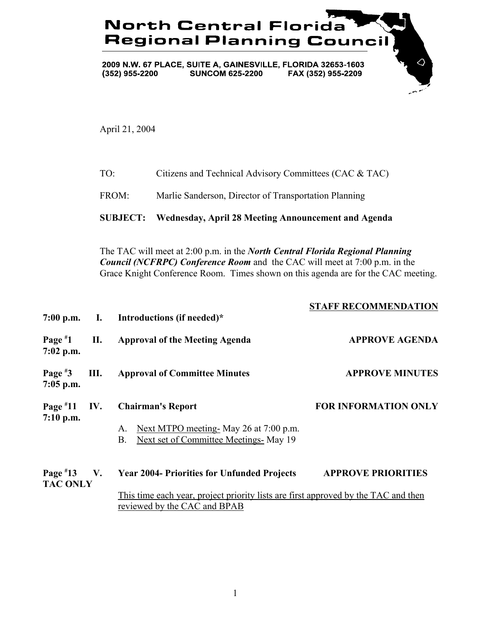## **North Central Florida Regional Planning Council**

 $\Diamond$ 

2009 N.W. 67 PLACE, SUITE A, GAINESVILLE, FLORIDA 32653-1603  $(352)$  955-2200 **SUNCOM 625-2200** FAX (352) 955-2209

April 21, 2004

| TO: | Citizens and Technical Advisory Committees (CAC & TAC) |
|-----|--------------------------------------------------------|
|     |                                                        |

FROM: Marlie Sanderson, Director of Transportation Planning

**SUBJECT: Wednesday, April 28 Meeting Announcement and Agenda**

The TAC will meet at 2:00 p.m. in the *North Central Florida Regional Planning Council (NCFRPC) Conference Room* and the CAC will meet at 7:00 p.m. in the Grace Knight Conference Room. Times shown on this agenda are for the CAC meeting.

| $7:00$ p.m.                   |             | I. Introductions (if needed)*                                                                                                                                            | <b>STAFF RECOMMENDATION</b> |
|-------------------------------|-------------|--------------------------------------------------------------------------------------------------------------------------------------------------------------------------|-----------------------------|
| Page $*1$<br>$7:02$ p.m.      | П.          | <b>Approval of the Meeting Agenda</b>                                                                                                                                    | <b>APPROVE AGENDA</b>       |
| Page $*3$<br>$7:05$ p.m.      | Ш.          | <b>Approval of Committee Minutes</b>                                                                                                                                     | <b>APPROVE MINUTES</b>      |
| Page $*11$<br>$7:10$ p.m.     | IV.         | <b>Chairman's Report</b><br>Next MTPO meeting May 26 at 7:00 p.m.<br>A.<br>Next set of Committee Meetings- May 19<br>B.                                                  | <b>FOR INFORMATION ONLY</b> |
| Page $*13$<br><b>TAC ONLY</b> | $V_{\star}$ | <b>Year 2004- Priorities for Unfunded Projects</b><br>This time each year, project priority lists are first approved by the TAC and then<br>reviewed by the CAC and BPAB | <b>APPROVE PRIORITIES</b>   |